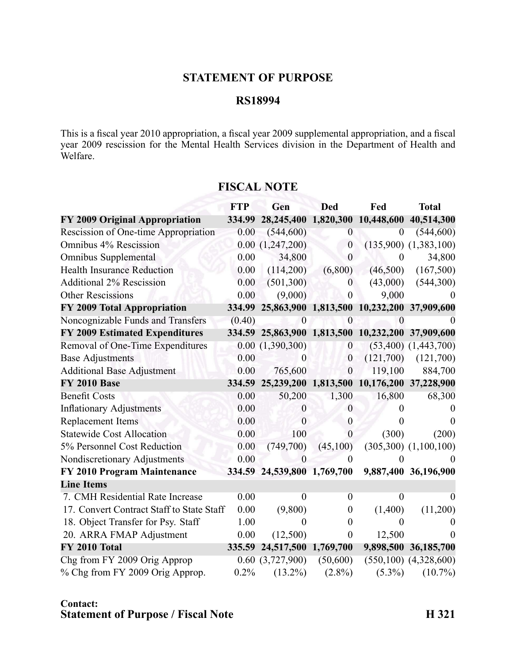## **STATEMENT OF PURPOSE**

## **RS18994**

This is <sup>a</sup> fiscal year 2010 appropriation, <sup>a</sup> fiscal year 2009 supplemental appropriation, and <sup>a</sup> fiscal year 2009 rescission for the Mental Health Services division in the Department of Health and Welfare.

|                                           | <b>FTP</b> | Gen                  | <b>Ded</b>       | Fed                  | <b>Total</b>                               |
|-------------------------------------------|------------|----------------------|------------------|----------------------|--------------------------------------------|
| FY 2009 Original Appropriation            | 334.99     | 28,245,400           |                  | 1,820,300 10,448,600 | 40,514,300                                 |
| Rescission of One-time Appropriation      | 0.00       | (544, 600)           | $\theta$         | $\theta$             | (544, 600)                                 |
| Omnibus 4% Rescission                     |            | 0.00(1,247,200)      | $\boldsymbol{0}$ |                      | $(135,900)$ $(1,383,100)$                  |
| <b>Omnibus Supplemental</b>               | 0.00       | 34,800               | $\theta$         | $\theta$             | 34,800                                     |
| <b>Health Insurance Reduction</b>         | 0.00       | (114,200)            | (6,800)          | (46,500)             | (167,500)                                  |
| <b>Additional 2% Rescission</b>           | 0.00       | (501, 300)           | $\theta$         | (43,000)             | (544,300)                                  |
| <b>Other Rescissions</b>                  | 0.00       | (9,000)              | $\overline{0}$   | 9,000                |                                            |
| FY 2009 Total Appropriation               | 334.99     |                      |                  |                      | 25,863,900 1,813,500 10,232,200 37,909,600 |
| Noncognizable Funds and Transfers         | (0.40)     | $\overline{0}$       | $\overline{0}$   | $\Omega$             |                                            |
| <b>FY 2009 Estimated Expenditures</b>     |            | 334.59 25,863,900    |                  | 1,813,500 10,232,200 | 37,909,600                                 |
| Removal of One-Time Expenditures          |            | 0.00(1,390,300)      | $\mathbf{0}$     |                      | $(53,400)$ $(1,443,700)$                   |
| <b>Base Adjustments</b>                   | 0.00       | $\theta$             | $\boldsymbol{0}$ | (121,700)            | (121,700)                                  |
| <b>Additional Base Adjustment</b>         | 0.00       | 765,600              | $\mathbf{0}$     | 119,100              | 884,700                                    |
| <b>FY 2010 Base</b>                       | 334.59     | 25,239,200           |                  | 1,813,500 10,176,200 | 37,228,900                                 |
| <b>Benefit Costs</b>                      | 0.00       | 50,200               | 1,300            | 16,800               | 68,300                                     |
| <b>Inflationary Adjustments</b>           | 0.00       | $\theta$             | $\theta$         |                      |                                            |
| Replacement Items                         | 0.00       | $\boldsymbol{0}$     | $\boldsymbol{0}$ |                      | $\theta$                                   |
| <b>Statewide Cost Allocation</b>          | 0.00       | 100                  | $\overline{0}$   | (300)                | (200)                                      |
| 5% Personnel Cost Reduction               | 0.00       | (749,700)            | (45,100)         |                      | $(305,300)$ $(1,100,100)$                  |
| Nondiscretionary Adjustments              | 0.00       | 0                    | 0                |                      |                                            |
| FY 2010 Program Maintenance               | 334.59     | 24,539,800 1,769,700 |                  |                      | 9,887,400 36,196,900                       |
| <b>Line Items</b>                         |            |                      |                  |                      |                                            |
| 7. CMH Residential Rate Increase          | 0.00       | $\theta$             | $\theta$         | $\theta$             | $\theta$                                   |
| 17. Convert Contract Staff to State Staff | 0.00       | (9,800)              | $\boldsymbol{0}$ | (1,400)              | (11,200)                                   |
| 18. Object Transfer for Psy. Staff        | 1.00       | $\theta$             | $\theta$         | 0                    |                                            |
| 20. ARRA FMAP Adjustment                  | 0.00       | (12,500)             | $\boldsymbol{0}$ | 12,500               | $\Omega$                                   |
| FY 2010 Total                             | 335.59     | 24,517,500 1,769,700 |                  |                      | 9,898,500 36,185,700                       |
| Chg from FY 2009 Orig Approp              |            | 0.60(3,727,900)      | (50,600)         |                      | $(550, 100)$ $(4, 328, 600)$               |
| % Chg from FY 2009 Orig Approp.           | 0.2%       | $(13.2\%)$           | $(2.8\%)$        | $(5.3\%)$            | $(10.7\%)$                                 |

## **FISCAL NOTE**

## **Contact: Statement of Purpose / Fiscal Note H 321**